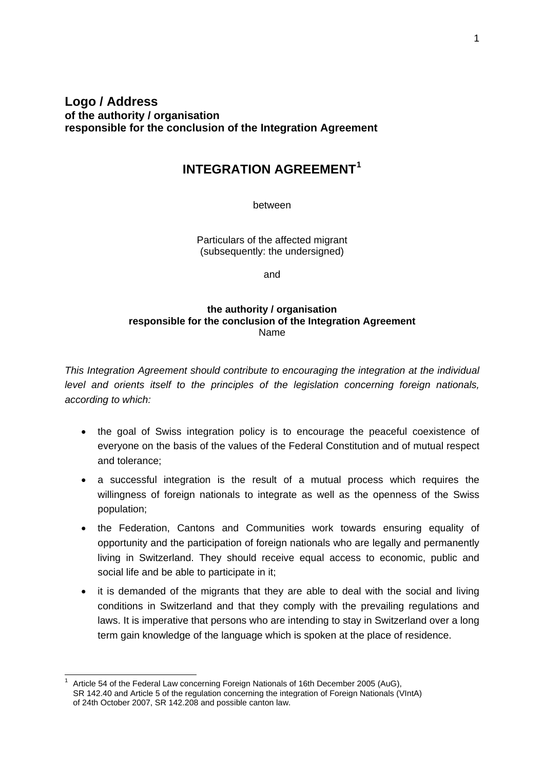# **Logo / Address of the authority / organisation responsible for the conclusion of the Integration Agreement**

# **INTEGRATION AGREEMENT[1](#page-0-0)**

between

Particulars of the affected migrant (subsequently: the undersigned)

and

#### **the authority / organisation responsible for the conclusion of the Integration Agreement** Name

*This Integration Agreement should contribute to encouraging the integration at the individual level and orients itself to the principles of the legislation concerning foreign nationals, according to which:*

- the goal of Swiss integration policy is to encourage the peaceful coexistence of everyone on the basis of the values of the Federal Constitution and of mutual respect and tolerance;
- a successful integration is the result of a mutual process which requires the willingness of foreign nationals to integrate as well as the openness of the Swiss population;
- the Federation, Cantons and Communities work towards ensuring equality of opportunity and the participation of foreign nationals who are legally and permanently living in Switzerland. They should receive equal access to economic, public and social life and be able to participate in it;
- it is demanded of the migrants that they are able to deal with the social and living conditions in Switzerland and that they comply with the prevailing regulations and laws. It is imperative that persons who are intending to stay in Switzerland over a long term gain knowledge of the language which is spoken at the place of residence.

<span id="page-0-0"></span> $\overline{a}$ Article 54 of the Federal Law concerning Foreign Nationals of 16th December 2005 (AuG), SR 142.40 and Article 5 of the regulation concerning the integration of Foreign Nationals (VIntA) of 24th October 2007, SR 142.208 and possible canton law.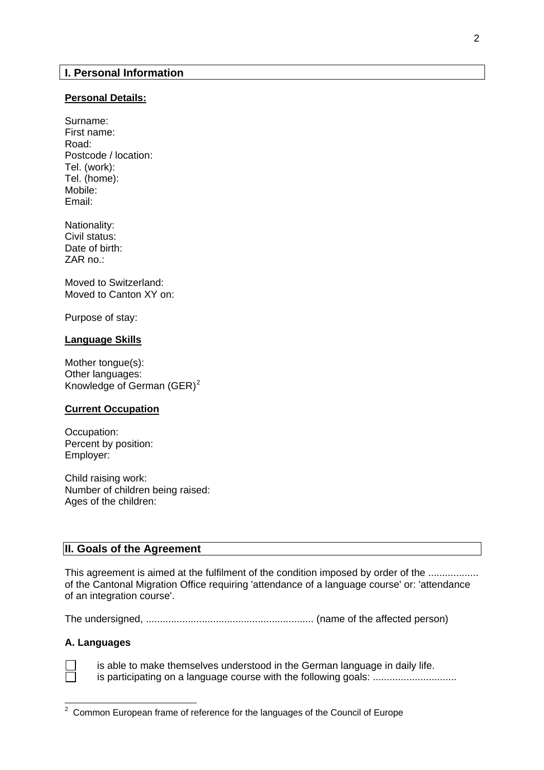### **Personal Details:**

Surname: First name: Road: Postcode / location: Tel. (work): Tel. (home): Mobile: Email:

Nationality: Civil status: Date of birth: ZAR no.:

Moved to Switzerland: Moved to Canton XY on:

Purpose of stay:

# **Language Skills**

Mother tongue(s): Other languages: Knowledge of German  $(GER)^2$  $(GER)^2$ 

### **Current Occupation**

Occupation: Percent by position: Employer:

Child raising work: Number of children being raised: Ages of the children:

# **II. Goals of the Agreement**

This agreement is aimed at the fulfilment of the condition imposed by order of the ........................... of the Cantonal Migration Office requiring 'attendance of a language course' or: 'attendance of an integration course'.

The undersigned, ............................................................ (name of the affected person)

#### **A. Languages**

 is able to make themselves understood in the German language in daily life. is participating on a language course with the following goals: ...................................

<span id="page-1-0"></span> $2$  Common European frame of reference for the languages of the Council of Europe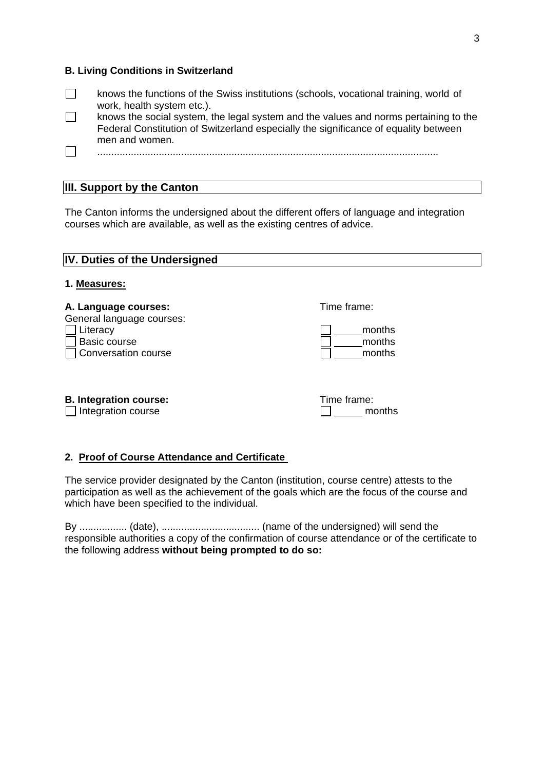# **B. Living Conditions in Switzerland**

| knows the functions of the Swiss institutions (schools, vocational training, world of<br>work, health system etc.).                                                                           |
|-----------------------------------------------------------------------------------------------------------------------------------------------------------------------------------------------|
| knows the social system, the legal system and the values and norms pertaining to the<br>Federal Constitution of Switzerland especially the significance of equality between<br>men and women. |
|                                                                                                                                                                                               |

# **III. Support by the Canton**

The Canton informs the undersigned about the different offers of language and integration courses which are available, as well as the existing centres of advice.

| <b>IV. Duties of the Undersigned</b><br>1. Measures: |                       |  |  |
|------------------------------------------------------|-----------------------|--|--|
|                                                      |                       |  |  |
| <b>B. Integration course:</b><br>Integration course  | Time frame:<br>months |  |  |

**2. Proof of Course Attendance and Certificate** 

The service provider designated by the Canton (institution, course centre) attests to the participation as well as the achievement of the goals which are the focus of the course and which have been specified to the individual.

By ................. (date), ................................... (name of the undersigned) will send the responsible authorities a copy of the confirmation of course attendance or of the certificate to the following address **without being prompted to do so:**